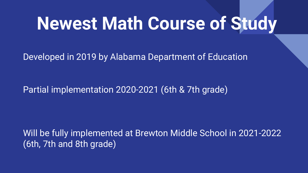## **Newest Math Course of Study**

Developed in 2019 by Alabama Department of Education

Partial implementation 2020-2021 (6th & 7th grade)

Will be fully implemented at Brewton Middle School in 2021-2022 (6th, 7th and 8th grade)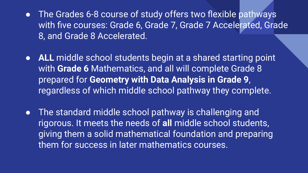- The Grades 6-8 course of study offers two flexible pathways with five courses: Grade 6, Grade 7, Grade 7 Accelerated, Grade 8, and Grade 8 Accelerated.
- **ALL** middle school students begin at a shared starting point with **Grade 6** Mathematics, and all will complete Grade 8 prepared for **Geometry with Data Analysis in Grade 9**, regardless of which middle school pathway they complete.
- The standard middle school pathway is challenging and rigorous. It meets the needs of **all** middle school students, giving them a solid mathematical foundation and preparing them for success in later mathematics courses.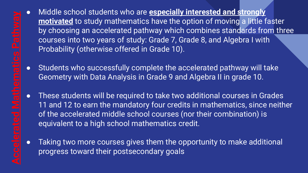- Middle school students who are **especially interested and strongly motivated** to study mathematics have the option of moving a little faster by choosing an accelerated pathway which combines standards from three courses into two years of study: Grade 7, Grade 8, and Algebra I with Probability (otherwise offered in Grade 10).
- Students who successfully complete the accelerated pathway will take Geometry with Data Analysis in Grade 9 and Algebra II in grade 10.
- These students will be required to take two additional courses in Grades 11 and 12 to earn the mandatory four credits in mathematics, since neither of the accelerated middle school courses (nor their combination) is equivalent to a high school mathematics credit.
- Taking two more courses gives them the opportunity to make additional progress toward their postsecondary goals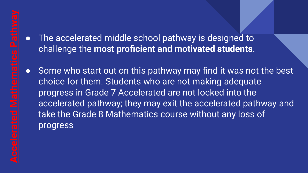## The accelerated middle school pathway is designed to challenge the **most proficient and motivated students**.

● Some who start out on this pathway may find it was not the best choice for them. Students who are not making adequate progress in Grade 7 Accelerated are not locked into the accelerated pathway; they may exit the accelerated pathway and take the Grade 8 Mathematics course without any loss of progress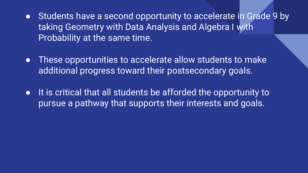- Students have a second opportunity to accelerate in Grade 9 by taking Geometry with Data Analysis and Algebra I with Probability at the same time.
- These opportunities to accelerate allow students to make additional progress toward their postsecondary goals.
- It is critical that all students be afforded the opportunity to pursue a pathway that supports their interests and goals.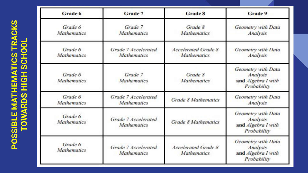| <b>CONTRACTOR</b><br>ı |                                                                                                                       |
|------------------------|-----------------------------------------------------------------------------------------------------------------------|
| G                      | I                                                                                                                     |
| l<br>l                 | i,<br>I                                                                                                               |
| Ī.<br>ı<br>þ           | I                                                                                                                     |
|                        | <b>Contract Contract Contract Contract Contract Contract Contract Contract Contract Contract Contract Contract Co</b> |
|                        | ı                                                                                                                     |
|                        | ï<br>֖֖֖֖֖֖֖֖֧֧֧֪֪֪ׅ֖֧֪֪֪֪֪֪֪֪֪֪֪֪֪֪֪֪֪֪֪֪֪֪֪֪֪֪֪֪֪֪֪֪֚֚֚֚֚֚֚֚֚֚֚֚֚֚֚֚֚֚֚֚֚֚֚֚֚֚֚֡֬֝֝֝֞֝                              |
|                        | ı                                                                                                                     |
|                        |                                                                                                                       |
| Ì<br>ı                 |                                                                                                                       |
| j<br>ı                 |                                                                                                                       |

| Grade 6                                                                    | Grade 7                                   | <b>Grade 8</b>                                   | Grade 9                                                             |  |
|----------------------------------------------------------------------------|-------------------------------------------|--------------------------------------------------|---------------------------------------------------------------------|--|
| Grade 6<br><b>Mathematics</b>                                              | Grade 7<br><b>Mathematics</b>             |                                                  | Geometry with Data<br>Analysis                                      |  |
| Grade 6<br><b>Mathematics</b>                                              | Grade 7 Accelerated<br><b>Mathematics</b> | <b>Accelerated Grade 8</b><br><b>Mathematics</b> | Geometry with Data<br>Analysis                                      |  |
| Grade 6<br><b>Mathematics</b>                                              | Grade 7<br><b>Mathematics</b>             | Grade 8<br><b>Mathematics</b>                    | Geometry with Data<br>Analysis<br>and Algebra I with<br>Probability |  |
| Grade 6<br><b>Mathematics</b>                                              | Grade 7 Accelerated<br><b>Mathematics</b> | <b>Grade 8 Mathematics</b>                       | Geometry with Data<br>Analysis                                      |  |
| Grade 6<br><b>Mathematics</b>                                              | Grade 7 Accelerated<br><b>Mathematics</b> |                                                  | Geometry with Data<br>Analysis<br>and Algebra I with<br>Probability |  |
| Grade 6<br>Grade 7 Accelerated<br><b>Mathematics</b><br><b>Mathematics</b> |                                           | <b>Accelerated Grade 8</b><br><b>Mathematics</b> | Geometry with Data<br>Analysis<br>and Algebra I with<br>Probability |  |